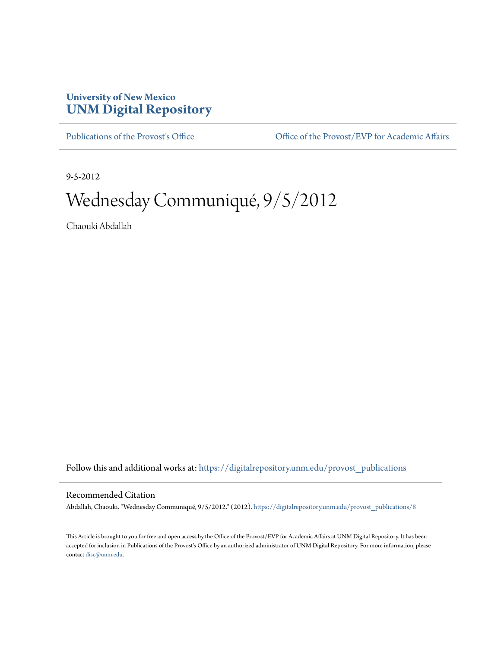## **University of New Mexico [UNM Digital Repository](https://digitalrepository.unm.edu?utm_source=digitalrepository.unm.edu%2Fprovost_publications%2F8&utm_medium=PDF&utm_campaign=PDFCoverPages)**

[Publications of the Provost's Office](https://digitalrepository.unm.edu/provost_publications?utm_source=digitalrepository.unm.edu%2Fprovost_publications%2F8&utm_medium=PDF&utm_campaign=PDFCoverPages) Office [Office of the Provost/EVP for Academic Affairs](https://digitalrepository.unm.edu/ofc_provost?utm_source=digitalrepository.unm.edu%2Fprovost_publications%2F8&utm_medium=PDF&utm_campaign=PDFCoverPages)

9-5-2012

# Wednesday Communiqué, 9/5/2012

Chaouki Abdallah

Follow this and additional works at: [https://digitalrepository.unm.edu/provost\\_publications](https://digitalrepository.unm.edu/provost_publications?utm_source=digitalrepository.unm.edu%2Fprovost_publications%2F8&utm_medium=PDF&utm_campaign=PDFCoverPages)

#### Recommended Citation

Abdallah, Chaouki. "Wednesday Communiqué, 9/5/2012." (2012). [https://digitalrepository.unm.edu/provost\\_publications/8](https://digitalrepository.unm.edu/provost_publications/8?utm_source=digitalrepository.unm.edu%2Fprovost_publications%2F8&utm_medium=PDF&utm_campaign=PDFCoverPages)

This Article is brought to you for free and open access by the Office of the Provost/EVP for Academic Affairs at UNM Digital Repository. It has been accepted for inclusion in Publications of the Provost's Office by an authorized administrator of UNM Digital Repository. For more information, please contact [disc@unm.edu.](mailto:disc@unm.edu)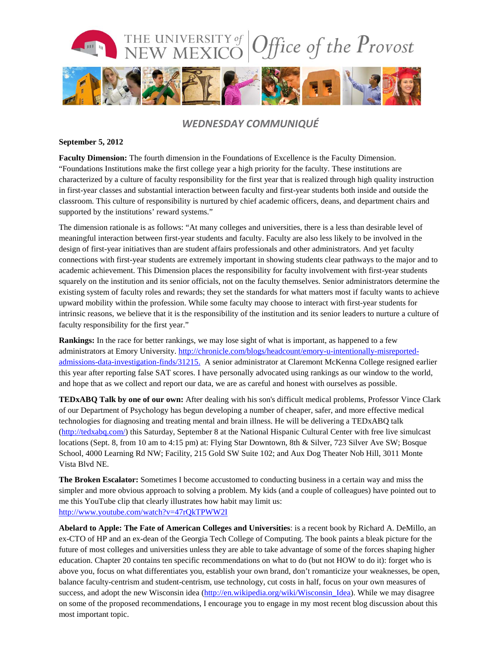

### *WEDNESDAY COMMUNIQUÉ*

#### **September 5, 2012**

**Faculty Dimension:** The fourth dimension in the Foundations of Excellence is the Faculty Dimension. "Foundations Institutions make the first college year a high priority for the faculty. These institutions are characterized by a culture of faculty responsibility for the first year that is realized through high quality instruction in first-year classes and substantial interaction between faculty and first-year students both inside and outside the classroom. This culture of responsibility is nurtured by chief academic officers, deans, and department chairs and supported by the institutions' reward systems."

The dimension rationale is as follows: "At many colleges and universities, there is a less than desirable level of meaningful interaction between first-year students and faculty. Faculty are also less likely to be involved in the design of first-year initiatives than are student affairs professionals and other administrators. And yet faculty connections with first-year students are extremely important in showing students clear pathways to the major and to academic achievement. This Dimension places the responsibility for faculty involvement with first-year students squarely on the institution and its senior officials, not on the faculty themselves. Senior administrators determine the existing system of faculty roles and rewards; they set the standards for what matters most if faculty wants to achieve upward mobility within the profession. While some faculty may choose to interact with first-year students for intrinsic reasons, we believe that it is the responsibility of the institution and its senior leaders to nurture a culture of faculty responsibility for the first year."

**Rankings:** In the race for better rankings, we may lose sight of what is important, as happened to a few administrators at Emory University. [http://chronicle.com/blogs/headcount/emory-u-intentionally-misreported](http://chronicle.com/blogs/headcount/emory-u-intentionally-misreported-admissions-data-investigation-finds/31215)[admissions-data-investigation-finds/31215.](http://chronicle.com/blogs/headcount/emory-u-intentionally-misreported-admissions-data-investigation-finds/31215) A senior administrator at Claremont McKenna College resigned earlier this year after reporting false SAT scores. I have personally advocated using rankings as our window to the world, and hope that as we collect and report our data, we are as careful and honest with ourselves as possible.

**TEDxABQ Talk by one of our own:** After dealing with his son's difficult medical problems, Professor Vince Clark of our Department of Psychology has begun developing a number of cheaper, safer, and more effective medical technologies for diagnosing and treating mental and brain illness. He will be delivering a TEDxABQ talk [\(http://tedxabq.com/\)](http://tedxabq.com/) this Saturday, September 8 at the National Hispanic Cultural Center with free live simulcast locations (Sept. 8, from 10 am to 4:15 pm) at: Flying Star Downtown, 8th & Silver, 723 Silver Ave SW; Bosque School, 4000 Learning Rd NW; Facility, 215 Gold SW Suite 102; and Aux Dog Theater Nob Hill, 3011 Monte Vista Blvd NE.

**The Broken Escalator:** Sometimes I become accustomed to conducting business in a certain way and miss the simpler and more obvious approach to solving a problem. My kids (and a couple of colleagues) have pointed out to me this YouTube clip that clearly illustrates how habit may limit us: <http://www.youtube.com/watch?v=47rQkTPWW2I>

**Abelard to Apple: The Fate of American Colleges and Universities**: is a recent book by Richard A. DeMillo, an ex-CTO of HP and an ex-dean of the Georgia Tech College of Computing. The book paints a bleak picture for the future of most colleges and universities unless they are able to take advantage of some of the forces shaping higher education. Chapter 20 contains ten specific recommendations on what to do (but not HOW to do it): forget who is above you, focus on what differentiates you, establish your own brand, don't romanticize your weaknesses, be open, balance faculty-centrism and student-centrism, use technology, cut costs in half, focus on your own measures of success, and adopt the new Wisconsin idea [\(http://en.wikipedia.org/wiki/Wisconsin\\_Idea\)](http://en.wikipedia.org/wiki/Wisconsin_Idea). While we may disagree on some of the proposed recommendations, I encourage you to engage in my most recent blog discussion about this most important topic.